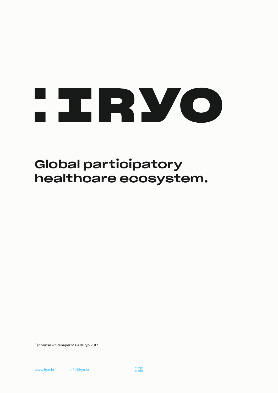

### Global participatory healthcare ecosystem.

Technical whitepaper v1.04 ©Iryo 2017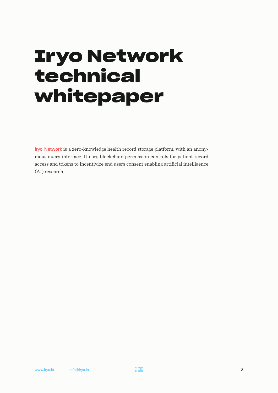## **Iryo Network technical whitepaper**

[Iryo Network](https://iryo.network/) is a zero-knowledge health record storage platform, with an anonymous query interface. It uses blockchain permission controls for patient record access and tokens to incentivize end users consent enabling artificial intelligence (AI) research.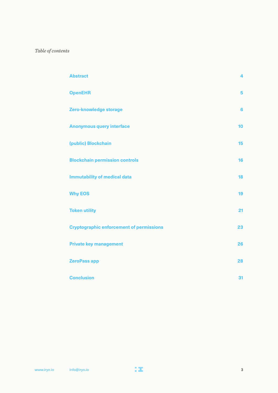#### *Table of contents*

| <b>Abstract</b>                                 | 4              |
|-------------------------------------------------|----------------|
| <b>OpenEHR</b>                                  | 5              |
| Zero-knowledge storage                          | $6\phantom{1}$ |
| <b>Anonymous query interface</b>                | 10             |
| (public) Blockchain                             | 15             |
| <b>Blockchain permission controls</b>           | 16             |
| <b>Immutability of medical data</b>             | 18             |
| <b>Why EOS</b>                                  | 19             |
| <b>Token utility</b>                            | 21             |
| <b>Cryptographic enforcement of permissions</b> | 23             |
| <b>Private key management</b>                   | 26             |
| <b>ZeroPass app</b>                             | 28             |
| <b>Conclusion</b>                               | 31             |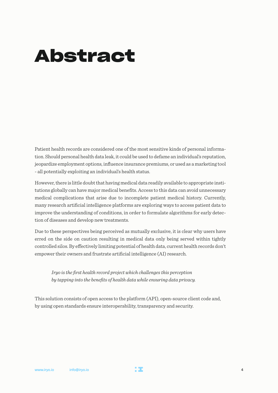## <span id="page-3-0"></span>**Abstract**

Patient health records are considered one of the most sensitive kinds of personal information. Should personal health data leak, it could be used to defame an individual's reputation, jeopardize employment options, influence insurance premiums, or used as a marketing tool - all potentially exploiting an individual's health status.

However, there is little doubt that having medical data readily available to appropriate institutions globally can have major medical benefits. Access to this data can avoid unnecessary medical complications that arise due to incomplete patient medical history. Currently, many research artificial intelligence platforms are exploring ways to access patient data to improve the understanding of conditions, in order to formulate algorithms for early detection of diseases and develop new treatments.

Due to these perspectives being perceived as mutually exclusive, it is clear why users have erred on the side on caution resulting in medical data only being served within tightly controlled silos. By effectively limiting potential of health data, current health records don't empower their owners and frustrate artificial intelligence (AI) research.

 *Iryo is the first health record project which challenges this perception by tapping into the benefits of health data while ensuring data privacy.*

This solution consists of open access to the platform (API), open-source client code and, by using open standards ensure interoperability, transparency and security.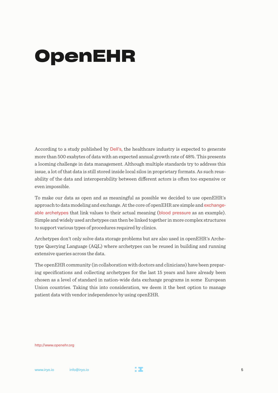## <span id="page-4-0"></span>**OpenEHR**

According to a study published by [Dell's](https://www.emc.com/analyst-report/digital-universe-healthcare-vertical-report-ar.pdf), the healthcare industry is expected to generate more than 500 exabytes of data with an expected annual growth rate of 48%. This presents a looming challenge in data management. Although multiple standards try to address this issue, a lot of that data is still stored inside local silos in proprietary formats. As such reusability of the data and interoperability between different actors is often too expensive or even impossible.

To make our data as open and as meaningful as possible we decided to use openEHR's approach to data modeling and exchange. At the core of openEHR are simple and [exchange](http://ckm.openehr.org/ckm/)[able archetypes](http://ckm.openehr.org/ckm/) that link values to their actual meaning ([blood pressure](https://github.com/ppazos/cabolabs-ehrserver/blob/master/opts/production/vital_signs/archetypes/openEHR-EHR-OBSERVATION.blood_pressure.v1.adl) as an example). Simple and widely used archetypes can then be linked together in more complex structures to support various types of procedures required by clinics.

Archetypes don't only solve data storage problems but are also used in openEHR's Archetype Querying Language (AQL) where archetypes can be reused in building and running extensive queries across the data.

The openEHR community (in collaboration with doctors and clinicians) have been preparing specifications and collecting archetypes for the last 15 years and have already been chosen as a level of standard in nation-wide data exchange programs in some European Union countries. Taking this into consideration, we deem it the best option to manage patient data with vendor independence by using openEHR.

#### http://www.openehr.org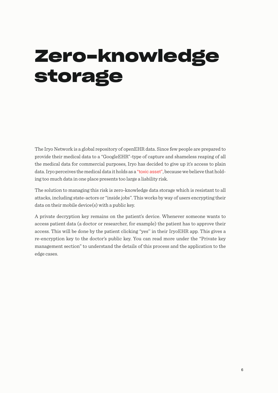# <span id="page-5-0"></span>**Zero-knowledge storage**

The Iryo Network is a global repository of openEHR data. Since few people are prepared to provide their medical data to a "GoogleEHR"-type of capture and shameless reaping of all the medical data for commercial purposes, Iryo has decided to give up it's access to plain data. Iryo perceives the medical data it holds as a ["toxic asset"](https://www.schneier.com/blog/archives/2016/03/data_is_a_toxic.html), because we believe that holding too much data in one place presents too large a liability risk.

The solution to managing this risk is zero-knowledge data storage which is resistant to all attacks, including state-actors or "inside jobs''. This works by way of users encrypting their data on their mobile device(s) with a public key.

A private decryption key remains on the patient's device. Whenever someone wants to access patient data (a doctor or researcher, for example) the patient has to approve their access. This will be done by the patient clicking "yes'' in their IryoEHR app. This gives a re-encryption key to the doctor's public key. You can read more under the "Private key management section" to understand the details of this process and the application to the edge cases.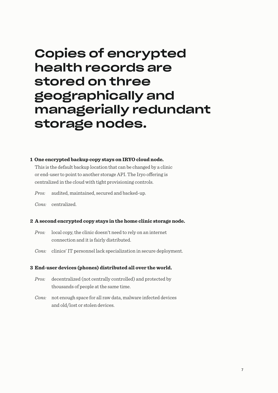### Copies of encrypted health records are stored on three geographically and managerially redundant storage nodes.

#### **1 One encrypted backup copy stays on IRYO cloud node.**

This is the default backup location that can be changed by a clinic or end-user to point to another storage API. The Iryo offering is centralized in the cloud with tight provisioning controls.

*Pros:* audited, maintained, secured and backed-up.

*Cons:* centralized.

#### **2 A second encrypted copy stays in the home clinic storage node.**

- *Pros:* local copy, the clinic doesn't need to rely on an internet connection and it is fairly distributed.
- *Cons:* clinics' IT personnel lack specialization in secure deployment.

#### **3 End-user devices (phones) distributed all over the world.**

- *Pros:* decentralized (not centrally controlled) and protected by thousands of people at the same time.
- *Cons:* not enough space for all raw data, malware infected devices and old/lost or stolen devices.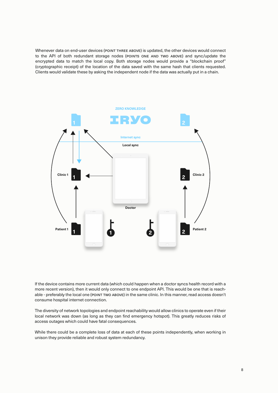Whenever data on end-user devices (POINT THREE ABOVE) is updated, the other devices would connect to the API of both redundant storage nodes (POINTS ONE AND TWO ABOVE) and sync/update the encrypted data to match the local copy. Both storage nodes would provide a "blockchain proof" (cryptographic receipt) of the location of the data saved with the same hash that clients requested. Clients would validate these by asking the independent node if the data was actually put in a chain.



If the device contains more current data (which could happen when a doctor syncs health record with a more recent version), then it would only connect to one endpoint API. This would be one that is reachable - preferably the local one (POINT TWO ABOVE) in the same clinic. In this manner, read access doesn't consume hospital internet connection.

The diversity of network topologies and endpoint reachability would allow clinics to operate even if their local network was down (as long as they can find emergency hotspot). This greatly reduces risks of access outages which could have fatal consequences.

While there could be a complete loss of data at each of these points independently, when working in unison they provide reliable and robust system redundancy.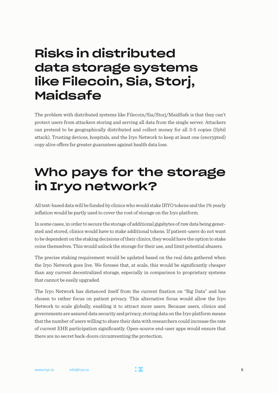### Risks in distributed data storage systems like Filecoin, Sia, Storj, **Maidsafe**

The problem with distributed systems like Filecoin/Sia/Storj/MaidSafe is that they can't protect users from attackers storing and serving all data from the single server. Attackers can pretend to be geographically distributed and collect money for all 3-5 copies (Sybil attack). Trusting devices, hospitals, and the Iryo Network to keep at least one (encrypted) copy alive offers far greater guarantees against health data loss.

### Who pays for the storage in Iryo network?

All text-based data will be funded by clinics who would stake IRYO tokens and the 1% yearly inflation would be partly used to cover the cost of storage on the Iryo platform.

In some cases, in order to secure the storage of additional gigabytes of raw data being generated and stored, clinics would have to stake additional tokens. If patient-users do not want to be dependent on the staking decisions of their clinics, they would have the option to stake coins themselves. This would unlock the storage for their use, and limit potential abusers.

The precise staking requirement would be updated based on the real data gathered when the Iryo Network goes live. We foresee that, at scale, this would be significantly cheaper than any current decentralized storage, especially in comparison to proprietary systems that cannot be easily upgraded.

The Iryo Network has distanced itself from the current fixation on "Big Data" and has chosen to rather focus on patient privacy. This alternative focus would allow the Iryo Network to scale globally, enabling it to attract more users. Because users, clinics and governments are assured data security and privacy, storing data on the Iryo platform means that the number of users willing to share their data with researchers could increase the rate of current EHR participation significantly. Open-source end-user apps would ensure that there are no secret back-doors circumventing the protection.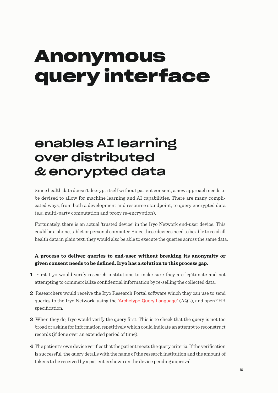## <span id="page-9-0"></span>**Anonymous query interface**

### enables AI learning over distributed & encrypted data

Since health data doesn't decrypt itself without patient consent, a new approach needs to be devised to allow for machine learning and AI capabilities. There are many complicated ways, from both a development and resource standpoint, to query encrypted data (e.g. multi-party computation and proxy re-encryption).

Fortunately, there is an actual 'trusted device' in the Iryo Network end-user device. This could be a phone, tablet or personal computer. Since these devices need to be able to read all health data in plain text, they would also be able to execute the queries across the same data.

#### **A process to deliver queries to end-user without breaking its anonymity or given consent needs to be defined. Iryo has a solution to this process gap.**

- **1** First Iryo would verify research institutions to make sure they are legitimate and not attempting to commercialize confidential information by re-selling the collected data.
- **2** Researchers would receive the Iryo Research Portal software which they can use to send queries to the Iryo Network, using the ['Archetype Query Language'](http://www.openehr.org/releases/QUERY/latest/docs/AQL/AQL.html) (AQL), and openEHR specification.
- **3** When they do, Iryo would verify the query first. This is to check that the query is not too broad or asking for information repetitively which could indicate an attempt to reconstruct records (if done over an extended period of time).
- **4** The patient's own device verifies that the patient meets the query criteria. If the verification is successful, the query details with the name of the research institution and the amount of tokens to be received by a patient is shown on the device pending approval.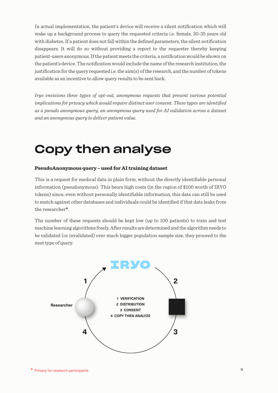In actual implementation, the patient's device will receive a silent notification which will wake up a background process to query the requested criteria i.e. female, 30-35 years old with diabetes. If a patient does not fall within the defined parameters, the silent notification disappears. It will do so without providing a report to the requester thereby keeping patient-users anonymous. If the patient meets the criteria, a notification would be shown on the patient's device. The notification would include the name of the research institution, the justification for the query requested i.e. the aim(s) of the research, and the number of tokens available as an incentive to allow query results to be sent back.

*Iryo envisions three types of opt-out, anonymous requests that present various potential implications for privacy which would require distinct user consent. These types are identified as a pseudo anonymous query, an anonymous query used for AI validation across a dataset and an anonymous query to deliver patient value.*

### Copy then analyse

#### **PseudoAnonymous query – used for AI training dataset**

This is a request for medical data in plain form, without the directly identifiable personal information (pseudonymous). This bears high costs (in the region of \$100 worth of IRYO tokens) since, even without personally identifiable information, this data can still be used to match against other databases and individuals could be identified if that data leaks from the researcher**\***.

The number of these requests should be kept low (up to 100 patients) to train and test machine learning algorithms freely. After results are determined and the algorithm needs to be validated (or invalidated) over much bigger population sample size, they proceed to the next type of query.

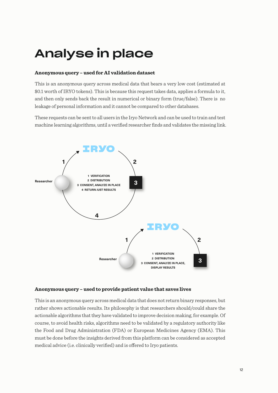## Analyse in place

#### **Anonymous query – used for AI validation dataset**

This is an anonymous query across medical data that bears a very low cost (estimated at \$0.1 worth of IRYO tokens). This is because this request takes data, applies a formula to it, and then only sends back the result in numerical or binary form (true/false). There is no leakage of personal information and it cannot be compared to other databases.

These requests can be sent to all users in the Iryo Network and can be used to train and test machine learning algorithms, until a verified researcher finds and validates the missing link.



#### **Anonymous query – used to provide patient value that saves lives**

This is an anonymous query across medical data that does not return binary responses, but rather shows actionable results. Its philosophy is that researchers should/could share the actionable algorithms that they have validated to improve decision making, for example. Of course, to avoid health risks, algorithms need to be validated by a regulatory authority like the Food and Drug Administration (FDA) or European Medicines Agency (EMA). This must be done before the insights derived from this platform can be considered as accepted medical advice (i.e. clinically verified) and is offered to Irvo patients.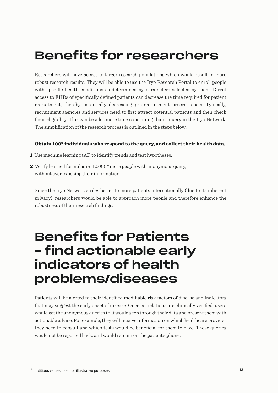## Benefits for researchers

Researchers will have access to larger research populations which would result in more robust research results. They will be able to use the Iryo Research Portal to enroll people with specific health conditions as determined by parameters selected by them. Direct access to EHRs of specifically defined patients can decrease the time required for patient recruitment, thereby potentially decreasing pre-recruitment process costs. Typically, recruitment agencies and services need to first attract potential patients and then check their eligibility. This can be a lot more time consuming than a query in the Iryo Network. The simplification of the research process is outlined in the steps below:

#### **Obtain 100\* individuals who respond to the query, and collect their health data.**

- **1** Use machine learning (AI) to identify trends and test hypotheses.
- **2** Verify learned formulas on 10.000**\*** more people with anonymous query, without ever exposing their information.

Since the Iryo Network scales better to more patients internationally (due to its inherent privacy), researchers would be able to approach more people and therefore enhance the robustness of their research findings.

### Benefits for Patients – find actionable early indicators of health problems/diseases

Patients will be alerted to their identified modifiable risk factors of disease and indicators that may suggest the early onset of disease. Once correlations are clinically verified, users would get the anonymous queries that would seep through their data and present them with actionable advice. For example, they will receive information on which healthcare provider they need to consult and which tests would be beneficial for them to have. Those queries would not be reported back, and would remain on the patient's phone.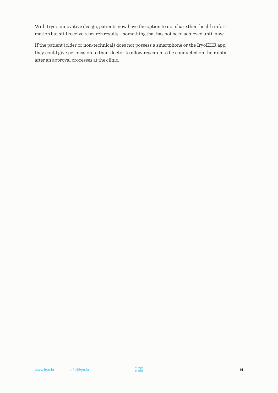With Iryo's innovative design, patients now have the option to not share their health information but still receive research results – something that has not been achieved until now.

If the patient (older or non-technical) does not possess a smartphone or the IryoEHR app, they could give permission to their doctor to allow research to be conducted on their data after an approval processes at the clinic.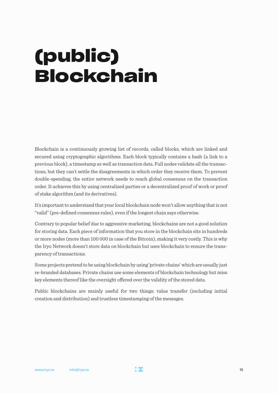# <span id="page-14-0"></span>**(public) Blockchain**

Blockchain is a continuously growing list of records, called blocks, which are linked and secured using cryptographic algorithms. Each block typically contains a hash (a link to a previous block), a timestamp as well as transaction data. Full nodes validate all the transactions, but they can't settle the disagreements in which order they receive them. To prevent double-spending, the entire network needs to reach global consensus on the transaction order. It achieves this by using centralized parties or a decentralized proof of work or proof of stake algorithm (and its derivatives).

It's important to understand that your local blockchain node won't allow anything that is not "valid" (pre-defined consensus rules), even if the longest chain says otherwise.

Contrary to popular belief due to aggressive marketing, blockchains are not a good solution for storing data. Each piece of information that you store in the blockchain sits in hundreds or more nodes (more than 100 000 in case of the Bitcoin), making it very costly. This is why the Iryo Network doesn't store data on blockchain but uses blockchain to ensure the transparency of transactions.

Some projects pretend to be using blockchain by using 'private chains' which are usually just re-branded databases. Private chains use some elements of blockchain technology but miss key elements thereof like the oversight offered over the validity of the stored data.

Public blockchains are mainly useful for two things; value transfer (including initial creation and distribution) and trustless timestamping of the messages.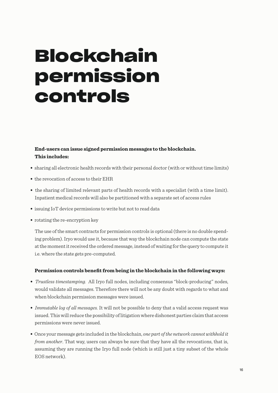## <span id="page-15-0"></span>**Blockchain permission controls**

#### **End-users can issue signed permission messages to the blockchain. This includes:**

- sharing all electronic health records with their personal doctor (with or without time limits)
- the revocation of access to their EHR
- the sharing of limited relevant parts of health records with a specialist (with a time limit). Inpatient medical records will also be partitioned with a separate set of access rules
- issuing IoT device permissions to write but not to read data
- rotating the re-encryption key

The use of the smart contracts for permission controls is optional (there is no double spending problem). Iryo would use it, because that way the blockchain node can compute the state at the moment it received the ordered message, instead of waiting for the query to compute it i.e. where the state gets pre-computed.

#### **Permission controls benefit from being in the blockchain in the following ways:**

- *Trustless timestamping.* All Iryo full nodes, including consensus "block-producing" nodes, would validate all messages. Therefore there will not be any doubt with regards to what and when blockchain permission messages were issued.
- *Immutable log of all messages.* It will not be possible to deny that a valid access request was issued. This will reduce the possibility of litigation where dishonest parties claim that access permissions were never issued.
- Once your message gets included in the blockchain, *one part of the network cannot withhold it from another*. That way, users can always be sure that they have all the revocations, that is, assuming they are running the Iryo full node (which is still just a tiny subset of the whole EOS network).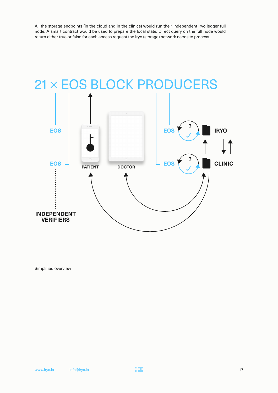All the storage endpoints (in the cloud and in the clinics) would run their independent Iryo ledger full node. A smart contract would be used to prepare the local state. Direct query on the full node would return either true or false for each access request the Iryo (storage) network needs to process.



Simplified overview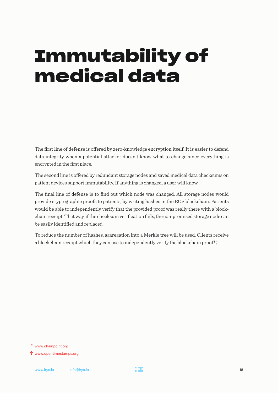## <span id="page-17-0"></span>**Immutability of medical data**

The first line of defense is offered by zero-knowledge encryption itself. It is easier to defend data integrity when a potential attacker doesn't know what to change since everything is encrypted in the first place.

The second line is offered by redundant storage nodes and saved medical data checksums on patient devices support immutability. If anything is changed, a user will know.

The final line of defense is to find out which node was changed. All storage nodes would provide cryptographic proofs to patients, by writing hashes in the EOS blockchain. Patients would be able to independently verify that the provided proof was really there with a blockchain receipt. That way, if the checksum verification fails, the compromised storage node can be easily identified and replaced.

To reduce the number of hashes, aggregation into a Merkle tree will be used. Clients receive a blockchain receipt which they can use to independently verify the blockchain proof**\*†** .

**<sup>\*</sup>** www.chainpoint.org

**<sup>†</sup>** www.opentimestamps.org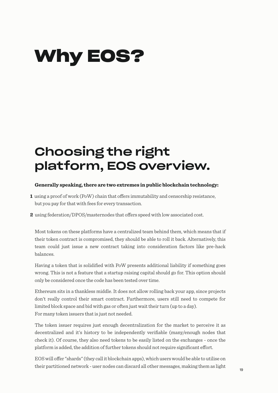## <span id="page-18-0"></span>**Why EOS?**

## Choosing the right platform, EOS overview.

#### **Generally speaking, there are two extremes in public blockchain technology:**

- 1 using a proof of work (PoW) chain that offers immutability and censorship resistance, but you pay for that with fees for every transaction.
- **2** using federation/DPOS/masternodes that offers speed with low associated cost.

Most tokens on these platforms have a centralized team behind them, which means that if their token contract is compromised, they should be able to roll it back. Alternatively, this team could just issue a new contract taking into consideration factors like pre-hack balances.

Having a token that is solidified with PoW presents additional liability if something goes wrong. This is not a feature that a startup raising capital should go for. This option should only be considered once the code has been tested over time.

Ethereum sits in a thankless middle. It does not allow rolling back your app, since projects don't really control their smart contract. Furthermore, users still need to compete for limited block space and bid with gas or often just wait their turn (up to a day). For many token issuers that is just not needed.

The token issuer requires just enough decentralization for the market to perceive it as decentralized and it's history to be independently verifiable (many/enough nodes that check it). Of course, they also need tokens to be easily listed on the exchanges - once the platform is added, the addition of further tokens should not require significant effort.

EOS will offer "shards" (they call it blockchain apps), which users would be able to utilise on their partitioned network - user nodes can discard all other messages, making them as light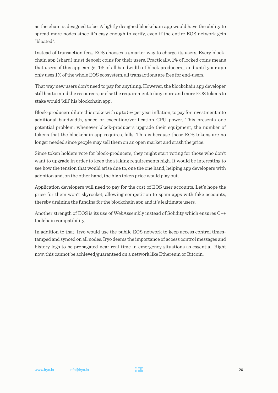as the chain is designed to be. A lightly designed blockchain app would have the ability to spread more nodes since it's easy enough to verify, even if the entire EOS network gets "bloated".

Instead of transaction fees, EOS chooses a smarter way to charge its users. Every blockchain app (shard) must deposit coins for their users. Practically, 1% of locked coins means that users of this app can get 1% of all bandwidth of block producers... and until your app only uses 1% of the whole EOS ecosystem, all transactions are free for end-users.

That way new users don't need to pay for anything. However, the blockchain app developer still has to mind the resources, or else the requirement to buy more and more EOS tokens to stake would 'kill' his blockchain app'.

Block-producers dilute this stake with up to 5% per year inflation, to pay for investment into additional bandwidth, space or execution/verification CPU power. This presents one potential problem: whenever block-producers upgrade their equipment, the number of tokens that the blockchain app requires, falls. This is because those EOS tokens are no longer needed since people may sell them on an open market and crash the price.

Since token holders vote for block-producers, they might start voting for those who don't want to upgrade in order to keep the staking requirements high. It would be interesting to see how the tension that would arise due to, one the one hand, helping app developers with adoption and, on the other hand, the high token price would play out.

Application developers will need to pay for the cost of EOS user accounts. Let's hope the price for them won't skyrocket; allowing competition to spam apps with fake accounts, thereby draining the funding for the blockchain app and it's legitimate users.

Another strength of EOS is its use of WebAssembly instead of Solidity which ensures C++ toolchain compatibility.

In addition to that, Iryo would use the public EOS network to keep access control timestamped and synced on all nodes. Iryo deems the importance of access control messages and history logs to be propagated near real-time in emergency situations as essential. Right now, this cannot be achieved/guaranteed on a network like Ethereum or Bitcoin.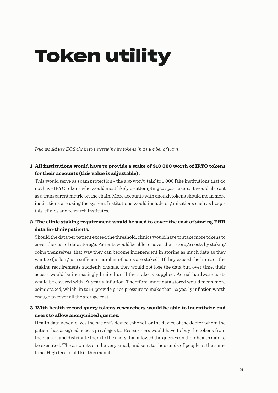# <span id="page-20-0"></span>**Token utility**

*Iryo would use EOS chain to intertwine its tokens in a number of ways:*

#### **1 All institutions would have to provide a stake of \$10 000 worth of IRYO tokens for their accounts (this value is adjustable).**

This would serve as spam protection - the app won't 'talk' to 1 000 fake institutions that do not have IRYO tokens who would most likely be attempting to spam users. It would also act as a transparent metric on the chain. More accounts with enough tokens should mean more institutions are using the system. Institutions would include organisations such as hospitals, clinics and research institutes.

#### **2 The clinic staking requirement would be used to cover the cost of storing EHR data for their patients.**

Should the data per patient exceed the threshold, clinics would have to stake more tokens to cover the cost of data storage. Patients would be able to cover their storage costs by staking coins themselves; that way they can become independent in storing as much data as they want to (as long as a sufficient number of coins are staked). If they exceed the limit, or the staking requirements suddenly change, they would not lose the data but, over time, their access would be increasingly limited until the stake is supplied. Actual hardware costs would be covered with 1% yearly inflation. Therefore, more data stored would mean more coins staked, which, in turn, provide price pressure to make that 1% yearly inflation worth enough to cover all the storage cost.

#### **3 With health record query tokens researchers would be able to incentivize end users to allow anonymized queries.**

Health data never leaves the patient's device (phone), or the device of the doctor whom the patient has assigned access privileges to. Researchers would have to buy the tokens from the market and distribute them to the users that allowed the queries on their health data to be executed. The amounts can be very small, and sent to thousands of people at the same time. High fees could kill this model.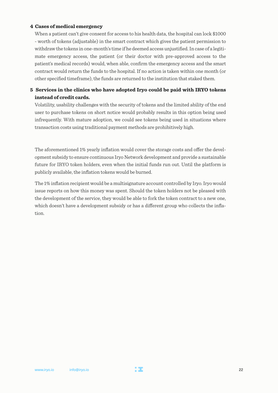#### **4 Cases of medical emergency**

When a patient can't give consent for access to his health data, the hospital can lock \$1000 - worth of tokens (adjustable) in the smart contract which gives the patient permission to withdraw the tokens in one-month's time if he deemed access unjustified. In case of a legitimate emergency access, the patient (or their doctor with pre-approved access to the patient's medical records) would, when able, confirm the emergency access and the smart contract would return the funds to the hospital. If no action is taken within one month (or other specified timeframe), the funds are returned to the institution that staked them.

#### **5 Services in the clinics who have adopted Iryo could be paid with IRYO tokens instead of credit cards.**

Volatility, usability challenges with the security of tokens and the limited ability of the end user to purchase tokens on short notice would probably results in this option being used infrequently. With mature adoption, we could see tokens being used in situations where transaction costs using traditional payment methods are prohibitively high.

The aforementioned 1% yearly inflation would cover the storage costs and offer the development subsidy to ensure continuous Iryo Network development and provide a sustainable future for IRYO token holders, even when the initial funds run out. Until the platform is publicly available, the inflation tokens would be burned.

The 1% inflation recipient would be a multisignature account controlled by Iryo. Iryo would issue reports on how this money was spent. Should the token holders not be pleased with the development of the service, they would be able to fork the token contract to a new one, which doesn't have a development subsidy or has a different group who collects the inflation.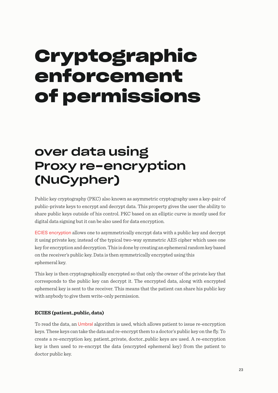## <span id="page-22-0"></span>**Cryptographic enforcement of permissions**

## over data using Proxy re-encryption (NuCypher)

Public key cryptography (PKC) also known as asymmetric cryptography uses a key-pair of public-private keys to encrypt and decrypt data. This property gives the user the ability to share public keys outside of his control. PKC based on an elliptic curve is mostly used for digital data signing but it can be also used for data encryption.

[ECIES encryption](https://en.wikipedia.org/wiki/Integrated_Encryption_Scheme) allows one to asymmetrically encrypt data with a public key and decrypt it using private key, instead of the typical two-way symmetric AES cipher which uses one key for encryption and decryption. This is done by creating an ephemeral random key based on the receiver's public key. Data is then symmetrically encrypted using this ephemeral key.

This key is then cryptographically encrypted so that only the owner of the private key that corresponds to the public key can decrypt it. The encrypted data, along with encrypted ephemeral key is sent to the receiver. This means that the patient can share his public key with anybody to give them write-only permission.

#### **ECIES (patient\_public, data)**

To read the data, an [Umbral](https://github.com/nucypher/nucypher-kms/blob/master/nkms/crypto/api.py#L384) algorithm is used, which allows patient to issue re-encryption keys. These keys can take the data and re-encrypt them to a doctor's public key on the fly. To create a re-encryption key, patient\_private, doctor\_public keys are used. A re-encryption key is then used to re-encrypt the data (encrypted ephemeral key) from the patient to doctor public key.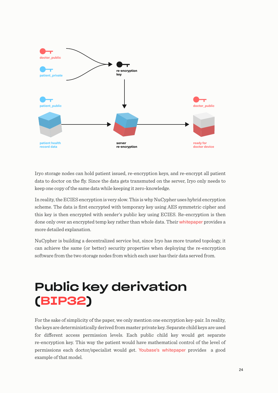

Iryo storage nodes can hold patient issued, re-encryption keys, and re-encrypt all patient data to doctor on the fly. Since the data gets transmuted on the server, Iryo only needs to keep one copy of the same data while keeping it zero-knowledge.

In reality, the ECIES encryption is very slow. This is why NuCypher uses hybrid encryption scheme. The data is first encrypted with temporary key using AES symmetric cipher and this key is then encrypted with sender's public key using ECIES. Re-encryption is then done only over an encrypted temp key rather than whole data. Their [whitepaper](https://cdn2.hubspot.net/hubfs/2807639/NuCypher%20KMS%20Technical%20White%20Paper.pdf) provides a more detailed explanation.

NuCypher is building a decentralized service but, since Iryo has more trusted topology, it can achieve the same (or better) security properties when deploying the re-encryption software from the two storage nodes from which each user has their data served from.

## Public key derivation [\(BIP32\)](https://github.com/bitcoin/bips/blob/master/bip-0032.mediawiki)

For the sake of simplicity of the paper, we only mention one encryption key-pair. In reality, the keys are deterministically derived from master private key. Separate child keys are used for different access permission levels. Each public child key would get separate re-encryption key. This way the patient would have mathematical control of the level of permissions each doctor/specialist would get. [Youbase's whitepaper](https://paper.youbase.io/content/structured-data.html#path-levels) provides a good example of that model.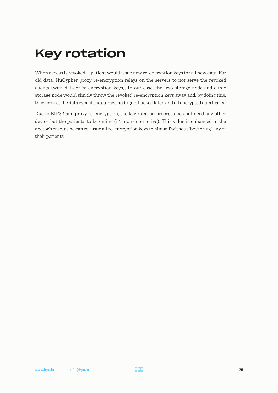## Key rotation

When access is revoked, a patient would issue new re-encryption keys for all new data. For old data, NuCypher proxy re-encryption relays on the servers to not serve the revoked clients (with data or re-encryption keys). In our case, the Iryo storage node and clinic storage node would simply throw the revoked re-encryption keys away and, by doing this, they protect the data even if the storage node gets hacked later, and all encrypted data leaked.

Due to BIP32 and proxy re-encryption, the key rotation process does not need any other device but the patient's to be online (it's non-interactive). This value is enhanced in the doctor's case, as he can re-issue all re-encryption keys to himself without 'bothering' any of their patients.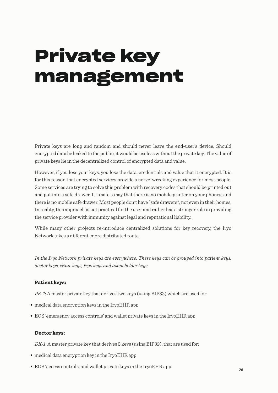# <span id="page-25-0"></span>**Private key management**

Private keys are long and random and should never leave the end-user's device. Should encrypted data be leaked to the public, it would be useless without the private key. The value of private keys lie in the decentralized control of encrypted data and value.

However, if you lose your keys, you lose the data, credentials and value that it encrypted. It is for this reason that encrypted services provide a nerve-wrecking experience for most people. Some services are trying to solve this problem with recovery codes that should be printed out and put into a safe drawer. It is safe to say that there is no mobile printer on your phones, and there is no mobile safe drawer. Most people don't have "safe drawers", not even in their homes. In reality, this approach is not practical for the user and rather has a stronger role in providing the service provider with immunity against legal and reputational liability.

While many other projects re-introduce centralized solutions for key recovery, the Iryo Network takes a different, more distributed route.

*In the Iryo Network private keys are everywhere. These keys can be grouped into patient keys, doctor keys, clinic keys, Iryo keys and token holder keys.*

#### **Patient keys:**

*PK-1*: A master private key that derives two keys (using BIP32) which are used for:

- medical data encryption keys in the IryoEHR app
- EOS 'emergency access controls' and wallet private keys in the IryoEHR app

#### **Doctor keys:**

*DK-1*: A master private key that derives 2 keys (using BIP32), that are used for:

- medical data encryption key in the IryoEHR app
- EOS 'access controls' and wallet private keys in the IryoEHR app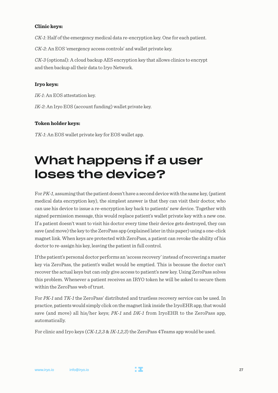#### **Clinic keys:**

*CK-1*: Half of the emergency medical data re-encryption key. One for each patient.

*CK-2*: An EOS 'emergency access controls' and wallet private key.

*CK-3* (optional): A cloud backup AES encryption key that allows clinics to encrypt and then backup all their data to Iryo Network.

#### **Iryo keys:**

*IK-1*: An EOS attestation key.

*IK-2*: An Iryo EOS (account funding) wallet private key.

#### **Token holder keys:**

*TK-1*: An EOS wallet private key for EOS wallet app.

### What happens if a user loses the device?

For *PK-1*, assuming that the patient doesn't have a second device with the same key, (patient medical data encryption key), the simplest answer is that they can visit their doctor, who can use his device to issue a re-encryption key back to patients' new device. Together with signed permission message, this would replace patient's wallet private key with a new one. If a patient doesn't want to visit his doctor every time their device gets destroyed, they can save (and move) the key to the ZeroPass app (explained later in this paper) using a one-click magnet link. When keys are protected with ZeroPass, a patient can revoke the ability of his doctor to re-assign his key, leaving the patient in full control.

If the patient's personal doctor performs an 'access recovery' instead of recovering a master key via ZeroPass, the patient's wallet would be emptied. This is because the doctor can't recover the actual keys but can only give access to patient's new key. Using ZeroPass solves this problem. Whenever a patient receives an IRYO token he will be asked to secure them within the ZeroPass web of trust.

For *PK-1* and *TK-1* the ZeroPass' distributed and trustless recovery service can be used. In practice, patients would simply click on the magnet link inside the IryoEHR app, that would save (and move) all his/her keys; *PK-1* and *DK-1* from IryoEHR to the ZeroPass app, automatically.

For clinic and Iryo keys (*CK-1*,*2*,*3* & *IK-1*,*2*,*3*) the ZeroPass 4Teams app would be used.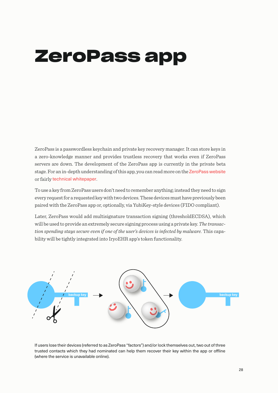## <span id="page-27-0"></span>**ZeroPass app**

ZeroPass is a passwordless keychain and private key recovery manager. It can store keys in a zero-knowledge manner and provides trustless recovery that works even if ZeroPass servers are down. The development of the ZeroPass app is currently in the private beta stage. For an in-depth understanding of this app, you can read more on the [ZeroPass](https://www.zeropass.io/) website or fairly [technical whitepaper](https://www.gitbook.com/book/zeropass/whitepaper/details).

To use a key from ZeroPass users don't need to remember anything; instead they need to sign every request for a requested key with two devices. These devices must have previously been paired with the ZeroPass app or, optionally, via YubiKey-style devices (FIDO compliant).

Later, ZeroPass would add multisignature transaction signing (thresholdECDSA), which will be used to provide an extremely secure signing process using a private key. *The transaction spending stays secure even if one of the user's devices is infected by malware.* This capability will be tightly integrated into IryoEHR app's token functionality.



If users lose their devices (referred to as ZeroPass "factors") and/or lock themselves out, two out of three trusted contacts which they had nominated can help them recover their key within the app or offline (where the service is unavailable online).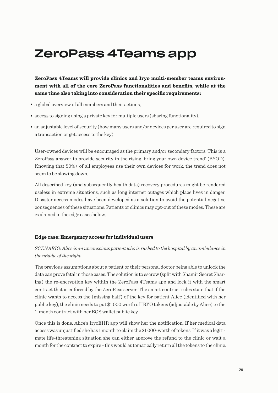### ZeroPass 4Teams app

**ZeroPass 4Teams will provide clinics and Iryo multi-member teams environment with all of the core ZeroPass functionalities and benefits, while at the same time also taking into consideration their specific requirements:**

- a global overview of all members and their actions,
- access to signing using a private key for multiple users (sharing functionality),
- an adjustable level of security (how many users and/or devices per user are required to sign a transaction or get access to the key).

User-owned devices will be encouraged as the primary and/or secondary factors. This is a ZeroPass answer to provide security in the rising 'bring your own device trend' (BYOD). Knowing that 50%+ of all employees use their own devices for work, the trend does not seem to be slowing down.

All described key (and subsequently health data) recovery procedures might be rendered useless in extreme situations, such as long internet outages which place lives in danger. Disaster access modes have been developed as a solution to avoid the potential negative consequences of these situations. Patients or clinics may opt-out of these modes. These are explained in the edge cases below.

#### **Edge case: Emergency access for individual users**

#### *SCENARIO: Alice is an unconscious patient who is rushed to the hospital by an ambulance in the middle of the night.*

The previous assumptions about a patient or their personal doctor being able to unlock the data can prove fatal in those cases. The solution is to escrow (split with Shamir Secret Sharing) the re-encryption key within the ZeroPass 4Teams app and lock it with the smart contract that is enforced by the ZeroPass server. The smart contract rules state that if the clinic wants to access the (missing half ) of the key for patient Alice (identified with her public key), the clinic needs to put \$1 000 worth of IRYO tokens (adjustable by Alice) to the 1-month contract with her EOS wallet public key.

Once this is done, Alice's IryoEHR app will show her the notification. If her medical data access was unjustified she has 1 month to claim the \$1 000-worth of tokens. If it was a legitimate life-threatening situation she can either approve the refund to the clinic or wait a month for the contract to expire - this would automatically return all the tokens to the clinic.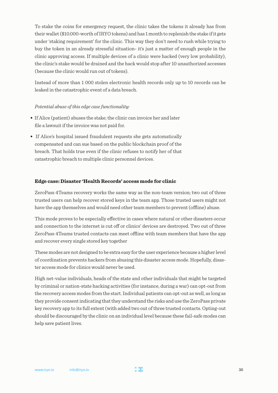To stake the coins for emergency request, the clinic takes the tokens it already has from their wallet (\$10.000-worth of IRYO tokens) and has 1 month to replenish the stake if it gets under 'staking requirement' for the clinic. This way they don't need to rush while trying to buy the token in an already stressful situation- it's just a matter of enough people in the clinic approving access. If multiple devices of a clinic were hacked (very low probability), the clinic's stake would be drained and the hack would stop after 10 unauthorized accesses (because the clinic would run out of tokens).

Instead of more than 1 000 stolen electronic health records only up to 10 records can be leaked in the catastrophic event of a data breach.

#### *Potential abuse of this edge case functionality:*

- If Alice (patient) abuses the stake; the clinic can invoice her and later file a lawsuit if the invoice was not paid for.
- If Alice's hospital issued fraudulent requests she gets automatically compensated and can sue based on the public blockchain proof of the breach. That holds true even if the clinic refuses to notify her of that catastrophic breach to multiple clinic personnel devices.

#### **Edge case: Disaster 'Health Records' access mode for clinic**

ZeroPass 4Teams recovery works the same way as the non-team version; two out of three trusted users can help recover stored keys in the team app. Those trusted users might not have the app themselves and would need other team members to prevent (offline) abuse.

This mode proves to be especially effective in cases where natural or other disasters occur and connection to the internet is cut off or clinics' devices are destroyed. Two out of three ZeroPass 4Teams trusted contacts can meet offline with team members that have the app and recover every single stored key together

These modes are not designed to be extra easy for the user experience because a higher level of coordination prevents hackers from abusing this disaster access mode. Hopefully, disaster access mode for clinics would never be used.

High net-value individuals, heads of the state and other individuals that might be targeted by criminal or nation-state hacking activities (for instance, during a war) can opt-out from the recovery access modes from the start. Individual patients can opt-out as well, as long as they provide consent indicating that they understand the risks and use the ZeroPass private key recovery app to its full extent (with added two out of three trusted contacts. Opting-out should be discouraged by the clinic on an individual level because these fail-safe modes can help save patient lives.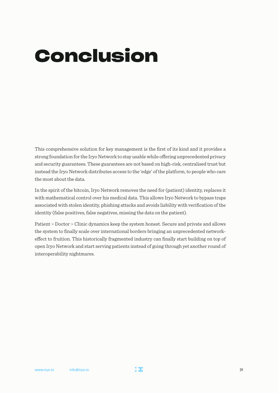## <span id="page-30-0"></span>**Conclusion**

This comprehensive solution for key management is the first of its kind and it provides a strong foundation for the Iryo Network to stay usable while offering unprecedented privacy and security guarantees. These guarantees are not based on high-risk, centralised trust but instead the Iryo Network distributes access to the 'edge' of the platform, to people who care the most about the data.

In the spirit of the bitcoin, Iryo Network removes the need for (patient) identity, replaces it with mathematical control over his medical data. This allows Iryo Network to bypass traps associated with stolen identity, phishing attacks and avoids liability with verification of the identity (false positives, false negatives, missing the data on the patient).

Patient > Doctor > Clinic dynamics keep the system honest. Secure and private and allows the system to finally scale over international borders bringing an unprecedented networkeffect to fruition. This historically fragmented industry can finally start building on top of open Iryo Network and start serving patients instead of going through yet another round of interoperability nightmares.